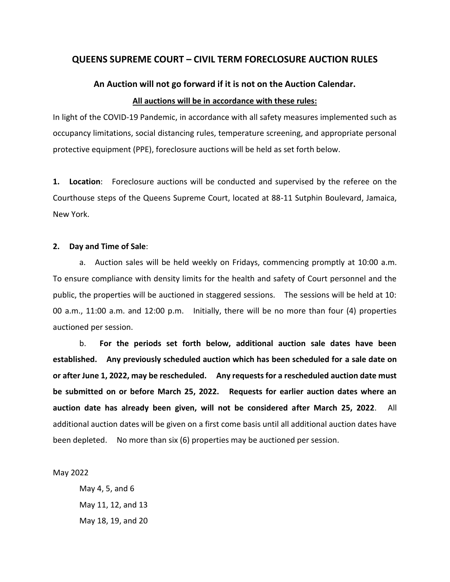## **QUEENS SUPREME COURT – CIVIL TERM FORECLOSURE AUCTION RULES**

# **An Auction will not go forward if it is not on the Auction Calendar. All auctions will be in accordance with these rules:**

In light of the COVID-19 Pandemic, in accordance with all safety measures implemented such as occupancy limitations, social distancing rules, temperature screening, and appropriate personal protective equipment (PPE), foreclosure auctions will be held as set forth below.

**1. Location**: Foreclosure auctions will be conducted and supervised by the referee on the Courthouse steps of the Queens Supreme Court, located at 88-11 Sutphin Boulevard, Jamaica, New York.

#### **2. Day and Time of Sale**:

a. Auction sales will be held weekly on Fridays, commencing promptly at 10:00 a.m. To ensure compliance with density limits for the health and safety of Court personnel and the public, the properties will be auctioned in staggered sessions. The sessions will be held at 10: 00 a.m., 11:00 a.m. and 12:00 p.m. Initially, there will be no more than four (4) properties auctioned per session.

b. **For the periods set forth below, additional auction sale dates have been established. Any previously scheduled auction which has been scheduled for a sale date on or after June 1, 2022, may be rescheduled. Any requests for a rescheduled auction date must be submitted on or before March 25, 2022. Requests for earlier auction dates where an auction date has already been given, will not be considered after March 25, 2022**. All additional auction dates will be given on a first come basis until all additional auction dates have been depleted.No more than six (6) properties may be auctioned per session.

May 2022

May 4, 5, and 6 May 11, 12, and 13 May 18, 19, and 20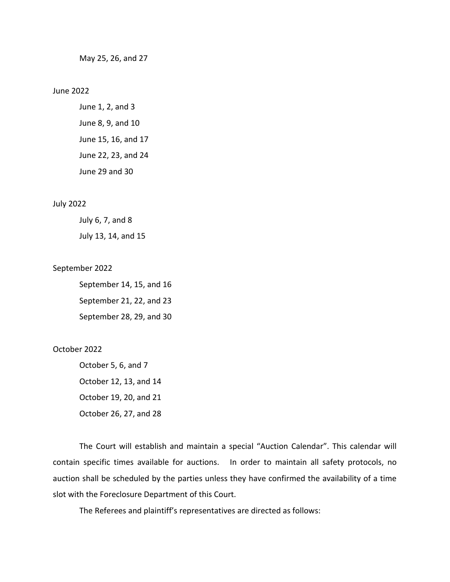May 25, 26, and 27

#### June 2022

June 1, 2, and 3 June 8, 9, and 10 June 15, 16, and 17 June 22, 23, and 24 June 29 and 30

#### July 2022

July 6, 7, and 8

July 13, 14, and 15

#### September 2022

September 14, 15, and 16 September 21, 22, and 23 September 28, 29, and 30

#### October 2022

October 5, 6, and 7 October 12, 13, and 14 October 19, 20, and 21 October 26, 27, and 28

The Court will establish and maintain a special "Auction Calendar". This calendar will contain specific times available for auctions. In order to maintain all safety protocols, no auction shall be scheduled by the parties unless they have confirmed the availability of a time slot with the Foreclosure Department of this Court.

The Referees and plaintiff's representatives are directed as follows: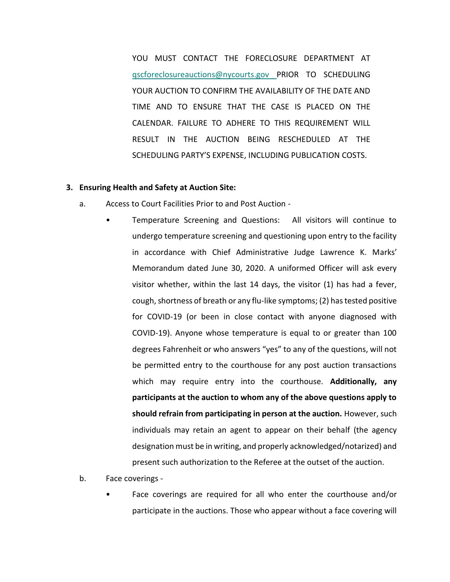YOU MUST CONTACT THE FORECLOSURE DEPARTMENT AT qscforeclosureauctions@nycourts.gov PRIOR TO SCHEDULING YOUR AUCTION TO CONFIRM THE AVAILABILITY OF THE DATE AND TIME AND TO ENSURE THAT THE CASE IS PLACED ON THE CALENDAR. FAILURE TO ADHERE TO THIS REQUIREMENT WILL RESULT IN THE AUCTION BEING RESCHEDULED AT THE SCHEDULING PARTY'S EXPENSE, INCLUDING PUBLICATION COSTS.

#### **3. Ensuring Health and Safety at Auction Site:**

- a. Access to Court Facilities Prior to and Post Auction
	- Temperature Screening and Questions: All visitors will continue to undergo temperature screening and questioning upon entry to the facility in accordance with Chief Administrative Judge Lawrence K. Marks' Memorandum dated June 30, 2020. A uniformed Officer will ask every visitor whether, within the last 14 days, the visitor (1) has had a fever, cough, shortness of breath or any flu-like symptoms; (2) has tested positive for COVID-19 (or been in close contact with anyone diagnosed with COVID-19). Anyone whose temperature is equal to or greater than 100 degrees Fahrenheit or who answers "yes" to any of the questions, will not be permitted entry to the courthouse for any post auction transactions which may require entry into the courthouse. **Additionally, any participants at the auction to whom any of the above questions apply to should refrain from participating in person at the auction.** However, such individuals may retain an agent to appear on their behalf (the agency designation must be in writing, and properly acknowledged/notarized) and present such authorization to the Referee at the outset of the auction.
- b. Face coverings
	- Face coverings are required for all who enter the courthouse and/or participate in the auctions. Those who appear without a face covering will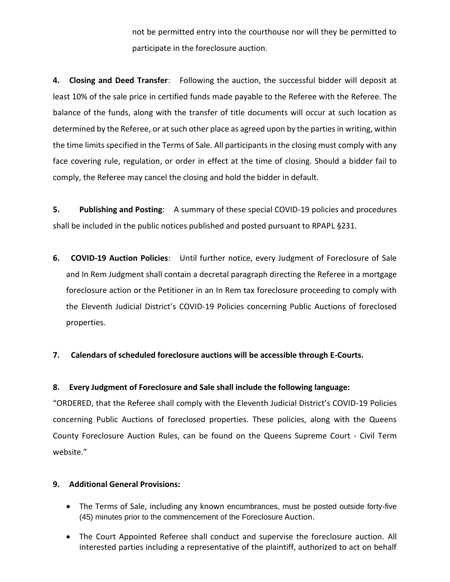not be permitted entry into the courthouse nor will they be permitted to participate in the foreclosure auction.

**4. Closing and Deed Transfer**: Following the auction, the successful bidder will deposit at least 10% of the sale price in certified funds made payable to the Referee with the Referee. The balance of the funds, along with the transfer of title documents will occur at such location as determined by the Referee, or at such other place as agreed upon by the parties in writing, within the time limits specified in the Terms of Sale. All participants in the closing must comply with any face covering rule, regulation, or order in effect at the time of closing. Should a bidder fail to comply, the Referee may cancel the closing and hold the bidder in default.

**5. Publishing and Posting**: A summary of these special COVID-19 policies and procedures shall be included in the public notices published and posted pursuant to RPAPL §231.

**6. COVID-19 Auction Policies**: Until further notice, every Judgment of Foreclosure of Sale and In Rem Judgment shall contain a decretal paragraph directing the Referee in a mortgage foreclosure action or the Petitioner in an In Rem tax foreclosure proceeding to comply with the Eleventh Judicial District's COVID-19 Policies concerning Public Auctions of foreclosed properties.

# **7. Calendars of scheduled foreclosure auctions will be accessible through E-Courts.**

### **8. Every Judgment of Foreclosure and Sale shall include the following language:**

"ORDERED, that the Referee shall comply with the Eleventh Judicial District's COVID-19 Policies concerning Public Auctions of foreclosed properties. These policies, along with the Queens County Foreclosure Auction Rules, can be found on the Queens Supreme Court - Civil Term website."

# **9. Additional General Provisions:**

- The Terms of Sale, including any known encumbrances, must be posted outside forty-five (45) minutes prior to the commencement of the Foreclosure Auction.
- The Court Appointed Referee shall conduct and supervise the foreclosure auction. All interested parties including a representative of the plaintiff, authorized to act on behalf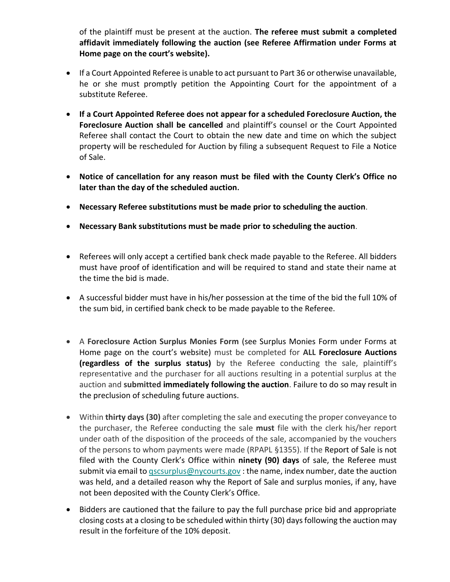of the plaintiff must be present at the auction. **The referee must submit a completed affidavit immediately following the auction (see Referee Affirmation under Forms at Home page on the court's website).**

- If a Court Appointed Referee is unable to act pursuant to Part 36 or otherwise unavailable, he or she must promptly petition the Appointing Court for the appointment of a substitute Referee.
- **If a Court Appointed Referee does not appear for a scheduled Foreclosure Auction, the Foreclosure Auction shall be cancelled** and plaintiff's counsel or the Court Appointed Referee shall contact the Court to obtain the new date and time on which the subject property will be rescheduled for Auction by filing a subsequent Request to File a Notice of Sale.
- **Notice of cancellation for any reason must be filed with the County Clerk's Office no later than the day of the scheduled auction.**
- **Necessary Referee substitutions must be made prior to scheduling the auction**.
- **Necessary Bank substitutions must be made prior to scheduling the auction**.
- Referees will only accept a certified bank check made payable to the Referee. All bidders must have proof of identification and will be required to stand and state their name at the time the bid is made.
- A successful bidder must have in his/her possession at the time of the bid the full 10% of the sum bid, in certified bank check to be made payable to the Referee.
- A **Foreclosure Action Surplus Monies Form** (see Surplus Monies Form under Forms at Home page on the court's website) must be completed for **ALL Foreclosure Auctions (regardless of the surplus status)** by the Referee conducting the sale, plaintiff's representative and the purchaser for all auctions resulting in a potential surplus at the auction and **submitted immediately following the auction**. Failure to do so may result in the preclusion of scheduling future auctions.
- Within **thirty days (30)** after completing the sale and executing the proper conveyance to the purchaser, the Referee conducting the sale **must** file with the clerk his/her report under oath of the disposition of the proceeds of the sale, accompanied by the vouchers of the persons to whom payments were made (RPAPL §1355). If the Report of Sale is not filed with the County Clerk's Office within **ninety (90) days** of sale, the Referee must submit via email to  $qscsurplus@nycounts.gov$ : the name, index number, date the auction was held, and a detailed reason why the Report of Sale and surplus monies, if any, have not been deposited with the County Clerk's Office.
- Bidders are cautioned that the failure to pay the full purchase price bid and appropriate closing costs at a closing to be scheduled within thirty (30) days following the auction may result in the forfeiture of the 10% deposit.